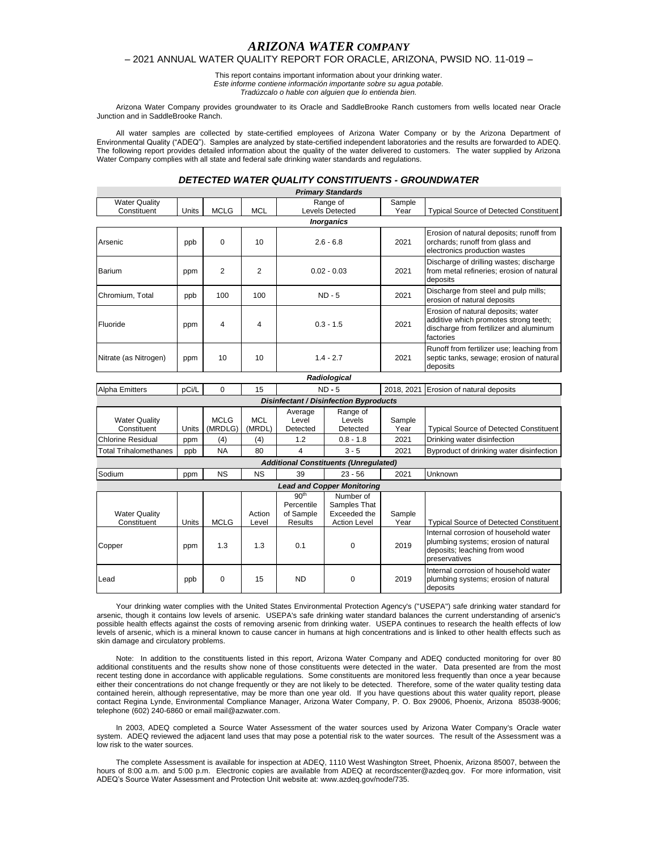# *ARIZONA WATER COMPANY*

## – 2021 ANNUAL WATER QUALITY REPORT FOR ORACLE, ARIZONA, PWSID NO. 11-019 –

This report contains important information about your drinking water. *Este informe contiene información importante sobre su agua potable. Tradúzcalo o hable con alguien que lo entienda bien.*

Arizona Water Company provides groundwater to its Oracle and SaddleBrooke Ranch customers from wells located near Oracle Junction and in SaddleBrooke Ranch.

All water samples are collected by state-certified employees of Arizona Water Company or by the Arizona Department of Environmental Quality ("ADEQ"). Samples are analyzed by state-certified independent laboratories and the results are forwarded to ADEQ. The following report provides detailed information about the quality of the water delivered to customers. The water supplied by Arizona Water Company complies with all state and federal safe drinking water standards and regulations.

## *DETECTED WATER QUALITY CONSTITUENTS - GROUNDWATER*

|                                         |       |                |                 |                                                               | <b>Primary Standards</b>                                         |                |                                                                                                                                    |
|-----------------------------------------|-------|----------------|-----------------|---------------------------------------------------------------|------------------------------------------------------------------|----------------|------------------------------------------------------------------------------------------------------------------------------------|
| <b>Water Quality</b>                    |       |                |                 |                                                               | Range of                                                         | Sample         |                                                                                                                                    |
| Constituent                             | Units | <b>MCLG</b>    | <b>MCL</b>      |                                                               | <b>Levels Detected</b>                                           | Year           | <b>Typical Source of Detected Constituent</b>                                                                                      |
|                                         |       |                |                 |                                                               | <b>Inorganics</b>                                                |                |                                                                                                                                    |
| Arsenic                                 | ppb   | 0              | 10              | $2.6 - 6.8$                                                   |                                                                  | 2021           | Erosion of natural deposits; runoff from<br>orchards; runoff from glass and<br>electronics production wastes                       |
| Barium                                  | ppm   | $\overline{2}$ | $\overline{2}$  | $0.02 - 0.03$                                                 |                                                                  | 2021           | Discharge of drilling wastes; discharge<br>from metal refineries; erosion of natural<br>deposits                                   |
| Chromium, Total                         | ppb   | 100            | 100             | $ND - 5$                                                      |                                                                  | 2021           | Discharge from steel and pulp mills;<br>erosion of natural deposits                                                                |
| Fluoride                                | ppm   | 4              | 4               | $0.3 - 1.5$                                                   |                                                                  | 2021           | Erosion of natural deposits; water<br>additive which promotes strong teeth;<br>discharge from fertilizer and aluminum<br>factories |
| Nitrate (as Nitrogen)                   | ppm   | 10             | 10              | $1.4 - 2.7$                                                   |                                                                  | 2021           | Runoff from fertilizer use; leaching from<br>septic tanks, sewage; erosion of natural<br>deposits                                  |
|                                         |       |                |                 |                                                               | Radiological                                                     |                |                                                                                                                                    |
| Alpha Emitters                          | pCi/L | $\Omega$       | 15              |                                                               | $ND - 5$                                                         | 2018, 2021     | Erosion of natural deposits                                                                                                        |
|                                         |       |                |                 |                                                               | <b>Disinfectant / Disinfection Byproducts</b>                    |                |                                                                                                                                    |
|                                         |       |                |                 | Average                                                       | Range of                                                         |                |                                                                                                                                    |
| <b>Water Quality</b>                    |       | <b>MCLG</b>    | MCL             | Level                                                         | Levels                                                           | Sample         |                                                                                                                                    |
| Constituent<br><b>Chlorine Residual</b> | Units | (MRDLG)        | (MRDL)          | Detected                                                      | Detected                                                         | Year           | <b>Typical Source of Detected Constituent</b>                                                                                      |
|                                         | ppm   | (4)            | (4)             | 1.2                                                           | $0.8 - 1.8$                                                      | 2021           | Drinking water disinfection                                                                                                        |
| <b>Total Trihalomethanes</b>            | ppb   | <b>NA</b>      | 80              | 4                                                             | $3 - 5$                                                          | 2021           | Byproduct of drinking water disinfection                                                                                           |
|                                         |       |                |                 |                                                               | <b>Additional Constituents (Unregulated)</b>                     |                |                                                                                                                                    |
| Sodium                                  | ppm   | <b>NS</b>      | <b>NS</b>       | 39                                                            | $23 - 56$                                                        | 2021           | Unknown                                                                                                                            |
|                                         |       |                |                 |                                                               | <b>Lead and Copper Monitoring</b>                                |                |                                                                                                                                    |
| <b>Water Quality</b><br>Constituent     | Units | <b>MCLG</b>    | Action<br>Level | 90 <sup>th</sup><br>Percentile<br>of Sample<br><b>Results</b> | Number of<br>Samples That<br>Exceeded the<br><b>Action Level</b> | Sample<br>Year | <b>Typical Source of Detected Constituent</b>                                                                                      |
| Copper                                  | ppm   | 1.3            | 1.3             | 0.1                                                           | $\Omega$                                                         | 2019           | Internal corrosion of household water<br>plumbing systems; erosion of natural<br>deposits; leaching from wood<br>preservatives     |
| Lead                                    | ppb   | 0              | 15              | <b>ND</b>                                                     | $\mathbf 0$                                                      | 2019           | Internal corrosion of household water<br>plumbing systems; erosion of natural<br>deposits                                          |

Your drinking water complies with the United States Environmental Protection Agency's ("USEPA") safe drinking water standard for arsenic, though it contains low levels of arsenic. USEPA's safe drinking water standard balances the current understanding of arsenic's possible health effects against the costs of removing arsenic from drinking water. USEPA continues to research the health effects of low levels of arsenic, which is a mineral known to cause cancer in humans at high concentrations and is linked to other health effects such as skin damage and circulatory problems.

Note: In addition to the constituents listed in this report, Arizona Water Company and ADEQ conducted monitoring for over 80 additional constituents and the results show none of those constituents were detected in the water. Data presented are from the most recent testing done in accordance with applicable regulations. Some constituents are monitored less frequently than once a year because either their concentrations do not change frequently or they are not likely to be detected. Therefore, some of the water quality testing data contained herein, although representative, may be more than one year old. If you have questions about this water quality report, please contact Regina Lynde, Environmental Compliance Manager, Arizona Water Company, P. O. Box 29006, Phoenix, Arizona 85038-9006; telephone (602) 240-6860 or email mail@azwater.com.

In 2003, ADEQ completed a Source Water Assessment of the water sources used by Arizona Water Company's Oracle water system. ADEQ reviewed the adjacent land uses that may pose a potential risk to the water sources. The result of the Assessment was a low risk to the water sources.

The complete Assessment is available for inspection at ADEQ, 1110 West Washington Street, Phoenix, Arizona 85007, between the hours of 8:00 a.m. and 5:00 p.m. Electronic copies are available from ADEQ at recordscenter@azdeq.gov. For more information, visit ADEQ's Source Water Assessment and Protection Unit website at: www.azdeq.gov/node/735.